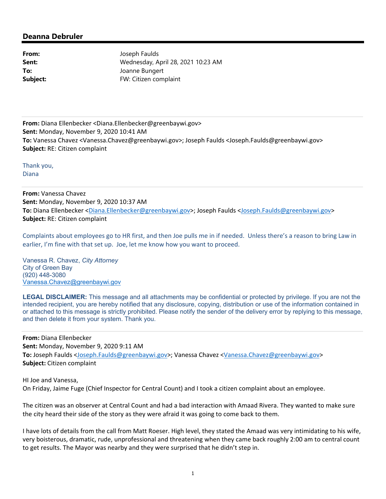## **Deanna Debruler**

From: Joseph Faulds **Sent:** Wednesday, April 28, 2021 10:23 AM **To:** Joanne Bungert **Subject:** FW: Citizen complaint

**From:** Diana Ellenbecker <Diana.Ellenbecker@greenbaywi.gov> **Sent:** Monday, November 9, 2020 10:41 AM **To:** Vanessa Chavez <Vanessa.Chavez@greenbaywi.gov>; Joseph Faulds <Joseph.Faulds@greenbaywi.gov> **Subject:** RE: Citizen complaint

Thank you, Diana

**From:** Vanessa Chavez **Sent:** Monday, November 9, 2020 10:37 AM **To:** Diana Ellenbecker <Diana.Ellenbecker@greenbaywi.gov>; Joseph Faulds <Joseph.Faulds@greenbaywi.gov> **Subject:** RE: Citizen complaint

Complaints about employees go to HR first, and then Joe pulls me in if needed. Unless there's a reason to bring Law in earlier, I'm fine with that set up. Joe, let me know how you want to proceed.

Vanessa R. Chavez, *City Attorney*  City of Green Bay (920) 448-3080 Vanessa.Chavez@greenbaywi.gov

**LEGAL DISCLAIMER:** This message and all attachments may be confidential or protected by privilege. If you are not the intended recipient, you are hereby notified that any disclosure, copying, distribution or use of the information contained in or attached to this message is strictly prohibited. Please notify the sender of the delivery error by replying to this message, and then delete it from your system. Thank you.

**From:** Diana Ellenbecker **Sent:** Monday, November 9, 2020 9:11 AM **To:** Joseph Faulds <Joseph.Faulds@greenbaywi.gov>; Vanessa Chavez <Vanessa.Chavez@greenbaywi.gov> **Subject:** Citizen complaint

HI Joe and Vanessa, On Friday, Jaime Fuge (Chief Inspector for Central Count) and I took a citizen complaint about an employee.

The citizen was an observer at Central Count and had a bad interaction with Amaad Rivera. They wanted to make sure the city heard their side of the story as they were afraid it was going to come back to them.

I have lots of details from the call from Matt Roeser. High level, they stated the Amaad was very intimidating to his wife, very boisterous, dramatic, rude, unprofessional and threatening when they came back roughly 2:00 am to central count to get results. The Mayor was nearby and they were surprised that he didn't step in.